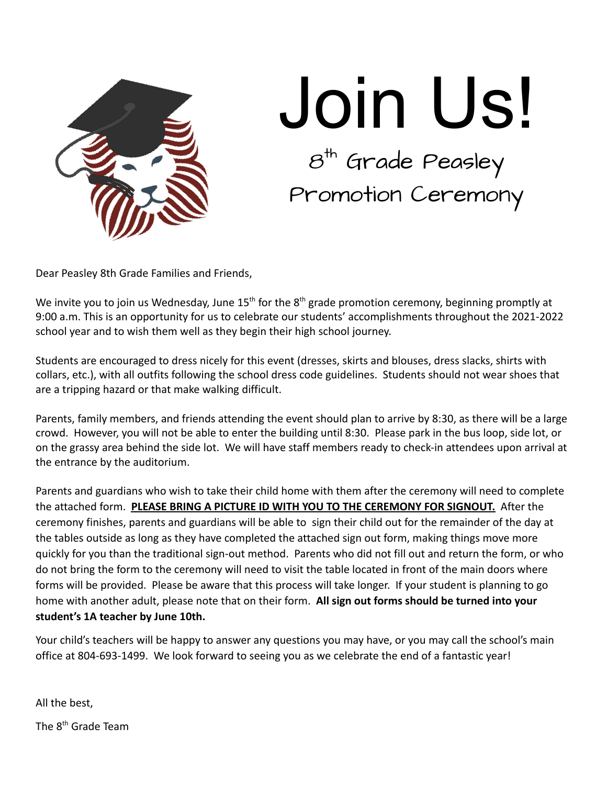

## Join Us!  $\boldsymbol{\mathcal{B}}^{\textsf{th}}$  Grade Peasley Promotion Ceremony

Dear Peasley 8th Grade Families and Friends,

We invite you to join us Wednesday, June 15<sup>th</sup> for the 8<sup>th</sup> grade promotion ceremony, beginning promptly at 9:00 a.m. This is an opportunity for us to celebrate our students' accomplishments throughout the 2021-2022 school year and to wish them well as they begin their high school journey.

Students are encouraged to dress nicely for this event (dresses, skirts and blouses, dress slacks, shirts with collars, etc.), with all outfits following the school dress code guidelines. Students should not wear shoes that are a tripping hazard or that make walking difficult.

Parents, family members, and friends attending the event should plan to arrive by 8:30, as there will be a large crowd. However, you will not be able to enter the building until 8:30. Please park in the bus loop, side lot, or on the grassy area behind the side lot. We will have staff members ready to check-in attendees upon arrival at the entrance by the auditorium.

Parents and guardians who wish to take their child home with them after the ceremony will need to complete the attached form. **PLEASE BRING A PICTURE ID WITH YOU TO THE CEREMONY FOR SIGNOUT.** After the ceremony finishes, parents and guardians will be able to sign their child out for the remainder of the day at the tables outside as long as they have completed the attached sign out form, making things move more quickly for you than the traditional sign-out method. Parents who did not fill out and return the form, or who do not bring the form to the ceremony will need to visit the table located in front of the main doors where forms will be provided. Please be aware that this process will take longer. If your student is planning to go home with another adult, please note that on their form. **All sign out forms should be turned into your student's 1A teacher by June 10th.**

Your child's teachers will be happy to answer any questions you may have, or you may call the school's main office at 804-693-1499. We look forward to seeing you as we celebrate the end of a fantastic year!

All the best,

The 8<sup>th</sup> Grade Team